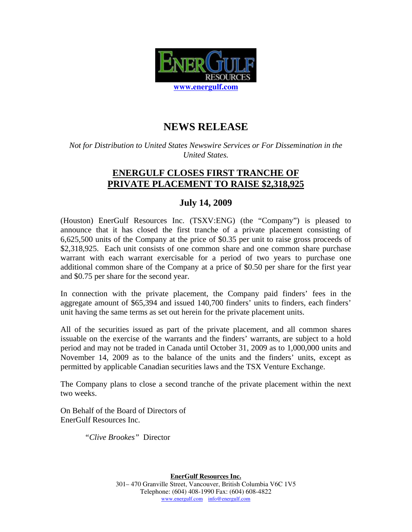

## **NEWS RELEASE**

*Not for Distribution to United States Newswire Services or For Dissemination in the United States.* 

## **ENERGULF CLOSES FIRST TRANCHE OF PRIVATE PLACEMENT TO RAISE \$2,318,925**

## **July 14, 2009**

(Houston) EnerGulf Resources Inc. (TSXV:ENG) (the "Company") is pleased to announce that it has closed the first tranche of a private placement consisting of 6,625,500 units of the Company at the price of \$0.35 per unit to raise gross proceeds of \$2,318,925. Each unit consists of one common share and one common share purchase warrant with each warrant exercisable for a period of two years to purchase one additional common share of the Company at a price of \$0.50 per share for the first year and \$0.75 per share for the second year.

In connection with the private placement, the Company paid finders' fees in the aggregate amount of \$65,394 and issued 140,700 finders' units to finders, each finders' unit having the same terms as set out herein for the private placement units.

All of the securities issued as part of the private placement, and all common shares issuable on the exercise of the warrants and the finders' warrants, are subject to a hold period and may not be traded in Canada until October 31, 2009 as to 1,000,000 units and November 14, 2009 as to the balance of the units and the finders' units, except as permitted by applicable Canadian securities laws and the TSX Venture Exchange.

The Company plans to close a second tranche of the private placement within the next two weeks.

On Behalf of the Board of Directors of EnerGulf Resources Inc.

*"Clive Brookes"* Director